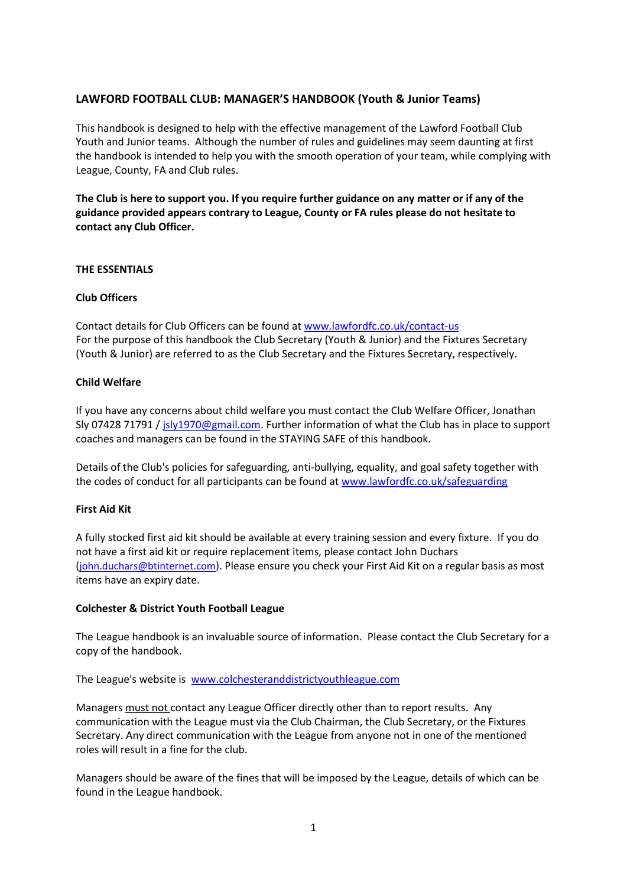# **LAWFORD FOOTBALL CLUB: MANAGER'S HANDBOOK (Youth & Junior Teams)**

This handbook is designed to help with the effective management of the Lawford Football Club Youth and Junior teams. Although the number of rules and guidelines may seem daunting at first the handbook is intended to help you with the smooth operation of your team, while complying with League, County, FA and Club rules.

**The Club is here to support you. If you require further guidance on any matter or if any of the guidance provided appears contrary to League, County or FA rules please do not hesitate to contact any Club Officer.**

## **THE ESSENTIALS**

#### **Club Officers**

Contact details for Club Officers can be found at [www.lawfordfc.co.uk/contact-us](http://www.lawfordfc.co.uk/contact-us) For the purpose of this handbook the Club Secretary (Youth & Junior) and the Fixtures Secretary (Youth & Junior) are referred to as the Club Secretary and the Fixtures Secretary, respectively.

#### **Child Welfare**

If you have any concerns about child welfare you must contact the Club Welfare Officer, Jonathan Sly 07428 71791 [/ jsly1970@gmail.com.](mailto:jsly1970@gmail.com) Further information of what the Club has in place to support coaches and managers can be found in the STAYING SAFE of this handbook.

Details of the Club's policies for safeguarding, anti-bullying, equality, and goal safety together with the codes of conduct for all participants can be found at [www.lawfordfc.co.uk/safeguarding](http://www.lawfordfc.co.uk/safeguarding)

## **First Aid Kit**

A fully stocked first aid kit should be available at every training session and every fixture. If you do not have a first aid kit or require replacement items, please contact John Duchars ([john.duchars@btinternet.com](mailto:john.duchars@btinternet.com)). Please ensure you check your First Aid Kit on a regular basis as most items have an expiry date.

## **Colchester & District Youth Football League**

The League handbook is an invaluable source of information. Please contact the Club Secretary for a copy of the handbook.

The League's website is [www.colchesteranddistrictyouthleague.com](http://www.colchesteranddistrictyouthleague.com/) 

Managers must not contact any League Officer directly other than to report results. Any communication with the League must via the Club Chairman, the Club Secretary, or the Fixtures Secretary. Any direct communication with the League from anyone not in one of the mentioned roles will result in a fine for the club.

Managers should be aware of the fines that will be imposed by the League, details of which can be found in the League handbook.